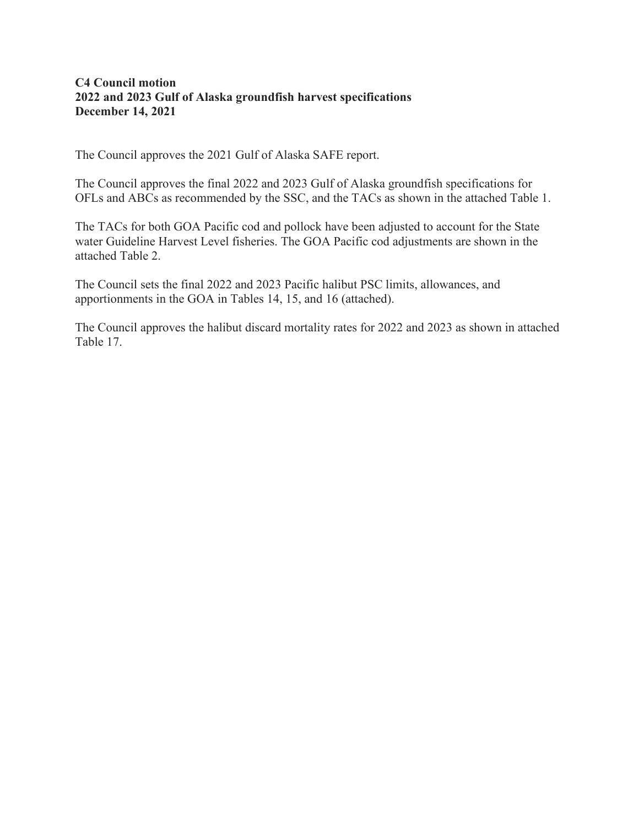## **C4 Council motion 2022 and 2023 Gulf of Alaska groundfish harvest specifications December 14, 2021**

The Council approves the 2021 Gulf of Alaska SAFE report.

The Council approves the final 2022 and 2023 Gulf of Alaska groundfish specifications for OFLs and ABCs as recommended by the SSC, and the TACs as shown in the attached Table 1.

The TACs for both GOA Pacific cod and pollock have been adjusted to account for the State water Guideline Harvest Level fisheries. The GOA Pacific cod adjustments are shown in the attached Table 2.

The Council sets the final 2022 and 2023 Pacific halibut PSC limits, allowances, and apportionments in the GOA in Tables 14, 15, and 16 (attached).

The Council approves the halibut discard mortality rates for 2022 and 2023 as shown in attached Table 17.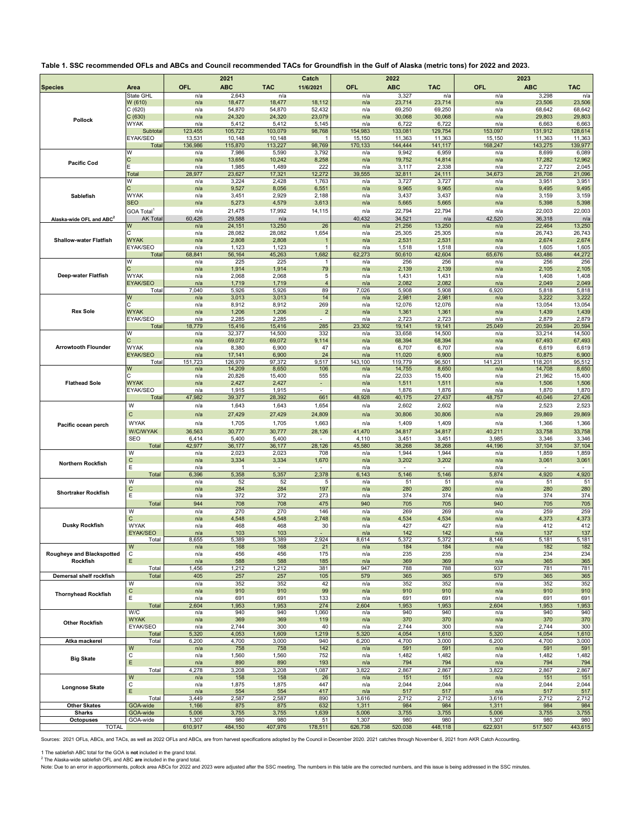## **Table 1. SSC recommended OFLs and ABCs and Council recommended TACs for Groundfish in the Gulf of Alaska (metric tons) for 2022 and 2023.**

|                                      |                                      |                   | 2021              |                                   | Catch                              |                   | 2022                              |                                   |                   | 2023                              |                                   |
|--------------------------------------|--------------------------------------|-------------------|-------------------|-----------------------------------|------------------------------------|-------------------|-----------------------------------|-----------------------------------|-------------------|-----------------------------------|-----------------------------------|
| <b>Species</b>                       | Area                                 | OFL               | <b>ABC</b>        | <b>TAC</b>                        | 11/6/2021                          | <b>OFL</b>        | <b>ABC</b>                        | <b>TAC</b>                        | OFL               | <b>ABC</b>                        | <b>TAC</b>                        |
|                                      | State GHL                            | n/a               | 2,643             | n/a                               |                                    | n/a               | 3,327                             | n/a                               | n/a               | 3,298                             | n/a                               |
|                                      | W (610)<br>C(620)                    | n/a<br>n/a        | 18,477<br>54,870  | 18,477<br>54,870                  | 18,112<br>52,432                   | n/a<br>n/a        | 23,714<br>69,250                  | 23,714<br>69,250                  | n/a<br>n/a        | 23,506<br>68,642                  | 23,506<br>68,642                  |
| <b>Pollock</b>                       | C(630)                               | n/a               | 24,320            | 24,320                            | 23,079                             | n/a               | 30,068                            | 30,068                            | n/a               | 29,803                            | 29,803                            |
|                                      | WYAK                                 | n/a               | 5,412             | 5,412                             | 5,145                              | n/a               | 6,722                             | 6,722                             | n/a               | 6,663                             | 6,663                             |
|                                      | Subtota<br>EYAK/SEO                  | 123,455<br>13,531 | 105,722<br>10,148 | 103,079<br>10,148                 | 98,768                             | 154,983<br>15,150 | 133,081<br>11,363                 | 129,754<br>11,363                 | 153,097<br>15,150 | 131,912<br>11,363                 | 128,614<br>11,363                 |
|                                      | Total                                | 136,986           | 115,870           | 113,227                           | 98,769                             | 170,133           | 144,444                           | 141,117                           | 168,247           | 143,275                           | 139,977                           |
|                                      | W                                    | n/a               | 7,986             | 5,590                             | 3,792                              | n/a               | 9,942                             | 6,959                             | n/a               | 8,699                             | 6,089                             |
| <b>Pacific Cod</b>                   | C                                    | n/a               | 13,656            | 10,242                            | 8,258                              | n/a               | 19,752                            | 14,814                            | n/a               | 17,282                            | 12,962                            |
|                                      | Total                                | n/a<br>28,977     | 1,985<br>23,627   | 1,489<br>17,321                   | 222<br>12,272                      | n/a<br>39,555     | 3,117<br>32,811                   | 2,338<br>24,111                   | n/a<br>34,673     | 2,727<br>28,708                   | 2,045<br>21,096                   |
|                                      | W                                    | n/a               | 3,224             | 2,428                             | 1,763                              | n/a               | 3,727                             | 3,727                             | n/a               | 3,951                             | 3,951                             |
|                                      |                                      | n/a               | 9,527             | 8,056                             | 6,551                              | n/a               | 9,965                             | 9,965                             | n/a               | 9,495                             | 9,495                             |
| Sablefish                            | <b>WYAK</b>                          | n/a               | 3,451             | 2,929                             | 2,188                              | n/a               | 3,437                             | 3,437                             | n/a               | 3,159                             | 3,159                             |
|                                      | <b>SEO</b><br>GOA Total <sup>1</sup> | n/a<br>n/a        | 5,273<br>21,475   | 4,579<br>17,992                   | 3,613<br>14,115                    | n/a<br>n/a        | 5,665<br>22,794                   | 5,665<br>22,794                   | n/a<br>n/a        | 5,398<br>22,003                   | 5,398<br>22,003                   |
| Alaska-wide OFL and ABC <sup>2</sup> | <b>AK Total</b>                      | 60,426            | 29,588            | n/a                               |                                    | 40,432            | 34,521                            | n/a                               | 42,520            | 36,318                            | n/a                               |
|                                      | w                                    | n/a               | 24,151            | 13,250                            | 26                                 | n/a               | 21,256                            | 13,250                            | n/a               | 22,464                            | 13,250                            |
|                                      |                                      | n/a               | 28,082            | 28,082                            | 1,654                              | n/a               | 25,305                            | 25,305                            | n/a               | 26,743                            | 26,743                            |
| <b>Shallow-water Flatfish</b>        | <b>WYAK</b><br>EYAK/SEO              | n/a<br>n/a        | 2,808<br>1,123    | 2,808<br>1,123                    | 1                                  | n/a<br>n/a        | 2,531<br>1,518                    | 2,531<br>1,518                    | n/a<br>n/a        | 2,674<br>1,605                    | 2,674<br>1,605                    |
|                                      | Total                                | 68,841            | 56,164            | 45,263                            | 1,682                              | 62,273            | 50,610                            | 42,604                            | 65,676            | 53,486                            | 44,272                            |
|                                      | W                                    | n/a               | 225               | 225                               |                                    | n/a               | 256                               | 256                               | n/a               | 256                               | 256                               |
| Deep-water Flatfish                  | <b>WYAK</b>                          | n/a<br>n/a        | 1,914<br>2,068    | 1,914<br>2,068                    | 79<br>5                            | n/a<br>n/a        | 2,139<br>1,431                    | 2,139<br>1,431                    | n/a<br>n/a        | 2,105<br>1,408                    | 2,105<br>1,408                    |
|                                      | <b>EYAK/SEO</b>                      | n/a               | 1,719             | 1,719                             | $\overline{4}$                     | n/a               | 2,082                             | 2,082                             | n/a               | 2,049                             | 2,049                             |
|                                      | Total                                | 7,040             | 5,926             | 5,926                             | 89                                 | 7,026             | 5,908                             | 5,908                             | 6,920             | 5,818                             | 5,818                             |
|                                      | W                                    | n/a               | 3,013             | 3,013                             | 14                                 | n/a               | 2,981                             | 2,981                             | n/a               | 3,222                             | 3,222                             |
| <b>Rex Sole</b>                      | C<br><b>WYAK</b>                     | n/a<br>n/a        | 8,912<br>1,206    | 8,912<br>1,206                    | 269<br>2                           | n/a<br>n/a        | 12,076<br>1,361                   | 12,076<br>1,361                   | n/a<br>n/a        | 13,054<br>1,439                   | 13,054<br>1,439                   |
|                                      | EYAK/SEO                             | n/a               | 2,285             | 2,285                             |                                    | n/a               | 2,723                             | 2,723                             | n/a               | 2,879                             | 2,879                             |
|                                      | Total                                | 18,779            | 15,416            | 15,416                            | 285                                | 23,302            | 19,141                            | 19,141                            | 25,049            | 20,594                            | 20,594                            |
|                                      | W                                    | n/a               | 32,377            | 14,500                            | 332                                | n/a               | 33,658                            | 14,500                            | n/a               | 33,214                            | 14,500                            |
| <b>Arrowtooth Flounder</b>           | Ċ<br><b>WYAK</b>                     | n/a<br>n/a        | 69,072<br>8,380   | 69,072<br>6,900                   | 9,114<br>47                        | n/a<br>n/a        | 68,394<br>6,707                   | 68,394<br>6,707                   | n/a<br>n/a        | 67,493<br>6,619                   | 67,493<br>6,619                   |
|                                      | <b>EYAK/SEO</b>                      | n/a               | 17,141            | 6,900                             | 24                                 | n/a               | 11,020                            | 6,900                             | n/a               | 10,875                            | 6,900                             |
|                                      | Total                                | 151,723           | 126,970           | 97,372                            | 9,517                              | 143,100           | 119,779                           | 96,501                            | 141,231           | 118,201                           | 95,512                            |
|                                      | W<br>C                               | n/a               | 14,209            | 8,650                             | 106                                | n/a               | 14,755                            | 8,650                             | n/a               | 14,708                            | 8,650                             |
| <b>Flathead Sole</b>                 | <b>WYAK</b>                          | n/a<br>n/a        | 20,826<br>2,427   | 15,400<br>2,427                   | 555<br>$\blacksquare$              | n/a<br>n/a        | 22,033<br>1,511                   | 15,400<br>1,511                   | n/a<br>n/a        | 21,962<br>1,506                   | 15,400<br>1,506                   |
|                                      | EYAK/SEO                             | n/a               | 1,915             | 1,915                             |                                    | n/a               | 1,876                             | 1,876                             | n/a               | 1,870                             | 1,870                             |
|                                      | Total                                | 47,982            | 39,377            | 28,392                            | 661                                | 48,928            | 40,175                            | 27,437                            | 48,757            | 40,046                            | 27,426                            |
|                                      | W                                    | n/a               | 1,643             | 1,643                             | 1,654                              | n/a               | 2,602                             | 2,602                             | n/a               | 2,523                             | 2,523                             |
|                                      | C                                    | n/a               | 27,429            | 27,429                            | 24,809                             | n/a               | 30,806                            | 30,806                            | n/a               | 29,869                            | 29,869                            |
| Pacific ocean perch                  | <b>WYAK</b>                          | n/a               | 1,705             | 1,705                             | 1,663                              | n/a               | 1,409                             | 1,409                             | n/a               | 1,366                             | 1,366                             |
|                                      | <b>W/C/WYAK</b><br>SEO               | 36,563<br>6,414   | 30,777<br>5,400   | 30,777<br>5,400                   | 28,126<br>$\overline{\phantom{a}}$ | 41,470<br>4,110   | 34,817<br>3,451                   | 34,817<br>3,451                   | 40,211<br>3,985   | 33,758<br>3,346                   | 33,758<br>3,346                   |
|                                      | Total                                | 42,977            | 36,177            | 36,177                            | 28,126                             | 45,580            | 38,268                            | 38,268                            | 44,196            | 37,104                            | 37,104                            |
|                                      | W                                    | n/a               | 2,023             | 2,023                             | 708                                | n/a               | 1,944                             | 1,944                             | n/a               | 1,859                             | 1,859                             |
| <b>Northern Rockfish</b>             | С<br>E                               | n/a<br>n/a        | 3,334<br>-1       | 3,334<br>$\overline{\phantom{a}}$ | 1,670<br>$\overline{\phantom{a}}$  | n/a<br>n/a        | 3,202<br>$\overline{\phantom{a}}$ | 3,202<br>$\overline{\phantom{a}}$ | n/a<br>n/a        | 3,061<br>$\overline{\phantom{a}}$ | 3,061<br>$\overline{\phantom{a}}$ |
|                                      | Total                                | 6,396             | 5,358             | 5,357                             | 2,378                              | 6,143             | 5,146                             | 5,146                             | 5,874             | 4,920                             | 4,920                             |
|                                      | W                                    | n/a               | 52                | 52                                | 5                                  | n/a               | 51                                | 51                                | n/a               | 51                                | 51                                |
| <b>Shortraker Rockfish</b>           | С<br>Ε                               | n/a               | 284<br>372        | 284                               | 197                                | n/a               | 280<br>374                        | 280<br>374                        | n/a<br>n/a        | 280<br>374                        | 280<br>374                        |
|                                      | Total                                | n/a<br>944        | 708               | 372<br>708                        | 273<br>475                         | n/a<br>940        | 705                               | 705                               | 940               | 705                               | 705                               |
|                                      | W                                    | n/a               | 270               | 270                               | 146                                | n/a               | 269                               | 269                               | n/a               | 259                               | 259                               |
|                                      | C                                    | n/a               | 4,548             | 4,548                             | 2,748                              | n/a               | 4,534                             | 4,534                             | n/a               | 4,373                             | 4,373                             |
| <b>Dusky Rockfish</b>                | <b>WYAK</b>                          | n/a               | 468               | 468                               | 30                                 | n/a               | 427                               | 427                               | n/a               | 412                               | 412                               |
|                                      | <b>EYAK/SEO</b><br>Total             | n/a<br>655        | 103<br>389        | 103<br>5.389                      | 2.924                              | n/a<br>8614       | 142<br>5.372                      | 142<br>5.372                      | n/a<br>8 146      | 137<br>5 181                      | 137<br>5 181                      |
|                                      | W                                    | n/a               | 168               | 168                               | 21                                 | n/a               | 184                               | 184                               | n/a               | 182                               | 182                               |
| Rougheye and Blackspotted            | С                                    | n/a               | 456               | 456                               | 175                                | n/a               | 235                               | 235                               | n/a               | 234                               | 234                               |
| Rockfish                             | E.<br>Total                          | n/a<br>1,456      | 588<br>,212       | 588<br>1,212                      | 185<br>381                         | n/a<br>947        | 369<br>788                        | 369<br>788                        | n/a<br>937        | 365<br>781                        | 365<br>781                        |
| Demersal shelf rockfish              | Total                                | 405               | 257               | 257                               | 105                                | 579               | 365                               | 365                               | 579               | 365                               | 365                               |
|                                      | W                                    | n/a               | 352               | 352                               | 42                                 | n/a               | 352                               | 352                               | n/a               | 352                               | 352                               |
| <b>Thornyhead Rockfish</b>           | С                                    | n/a               | 910               | 910                               | 99                                 | n/a               | 910                               | 910                               | n/a               | 910                               | 910                               |
|                                      | Е<br>Total                           | n/a<br>2,604      | 691<br>1,953      | 691<br>1,953                      | 133<br>274                         | n/a<br>2,604      | 691<br>1,953                      | 691<br>1,953                      | n/a<br>2,604      | 691<br>1,953                      | 691<br>1,953                      |
|                                      | W/C                                  | n/a               | 940               | 940                               | 1,060                              | n/a               | 940                               | 940                               | n/a               | 940                               | 940                               |
| <b>Other Rockfish</b>                | <b>WYAK</b>                          | n/a               | 369               | 369                               | 119                                | n/a               | 370                               | 370                               | n/a               | 370                               | 370                               |
|                                      | EYAK/SEO                             | n/a<br>5,320      | 2,744             | 300                               | 40                                 | n/a               | 2,744                             | 300                               | n/a               | 2,744<br>4,054                    | 300                               |
| Atka mackerel                        | Total<br>Total                       | 6,200             | 4,053<br>4,700    | 1,609<br>3,000                    | 1,219<br>940                       | 5,320<br>6,200    | 4,054<br>4,700                    | 1,610<br>3,000                    | 5,320<br>6,200    | 4,700                             | 1,610<br>3,000                    |
|                                      | W                                    | n/a               | 758               | 758                               | 142                                | n/a               | 591                               | 591                               | n/a               | 591                               | 591                               |
| <b>Big Skate</b>                     | С                                    | n/a               | 1,560             | 1,560                             | 752                                | n/a               | 1,482                             | 1,482                             | n/a               | 1,482                             | 1,482                             |
|                                      | Ε<br>Total                           | n/a<br>4,278      | 890<br>3,208      | 890<br>3,208                      | 193<br>1,087                       | n/a<br>3,822      | 794<br>2,867                      | 794<br>2,867                      | n/a<br>3,822      | 794<br>2,867                      | 794<br>2,867                      |
|                                      | W                                    | n/a               | 158               | 158                               | 26                                 | n/a               | 151                               | 151                               | n/a               | 151                               | 151                               |
| Longnose Skate                       | С                                    | n/a               | 1,875             | 1,875                             | 447                                | n/a               | 2,044                             | 2,044                             | n/a               | 2,044                             | 2,044                             |
|                                      | E                                    | n/a               | 554               | 554                               | 417                                | n/a               | 517                               | 517                               | n/a               | 517                               | 517                               |
| <b>Other Skates</b>                  | Total<br>GOA-wide                    | 3,449<br>1,166    | 2,587<br>875      | 2,587<br>875                      | 890<br>632                         | 3,616<br>1,311    | 2,712<br>984                      | 2,712<br>984                      | 3,616<br>1,311    | 2,712<br>984                      | 2,712<br>984                      |
| Sharks                               | GOA-wide                             | 5,006             | 3,755             | 3,755                             | 1,639                              | 5,006             | 3,755                             | 3,755                             | 5,006             | 3,755                             | 3,755                             |
| <b>Octopuses</b>                     | GOA-wide                             | 1,307             | 980               | 980                               | 51                                 | 1,307             | 980                               | 980                               | 1,307             | 980                               | 980                               |
| <b>TOTAL</b>                         |                                      | 610,917           | 484,150           | 407,976                           | 178,511                            | 626,738           | 520,038                           | 448,118                           | 622,931           | 517,507                           | 443,615                           |

Sources: 2021 OFLs, ABCs, and TACs, as well as 2022 OFLs and ABCs, are from harvest specifications adopted by the Council in December 2020. 2021 catches through November 6, 2021 from AKR Catch Accounting.

1 The sablefish ABC total for the GOA is **not** included in the grand total.<br><sup>2</sup> The Alaska-wide sablefish OFL and included in the grand total.<br>Note: Due to an error in apportionments, pollock area ABCs for 2022 and 2023 we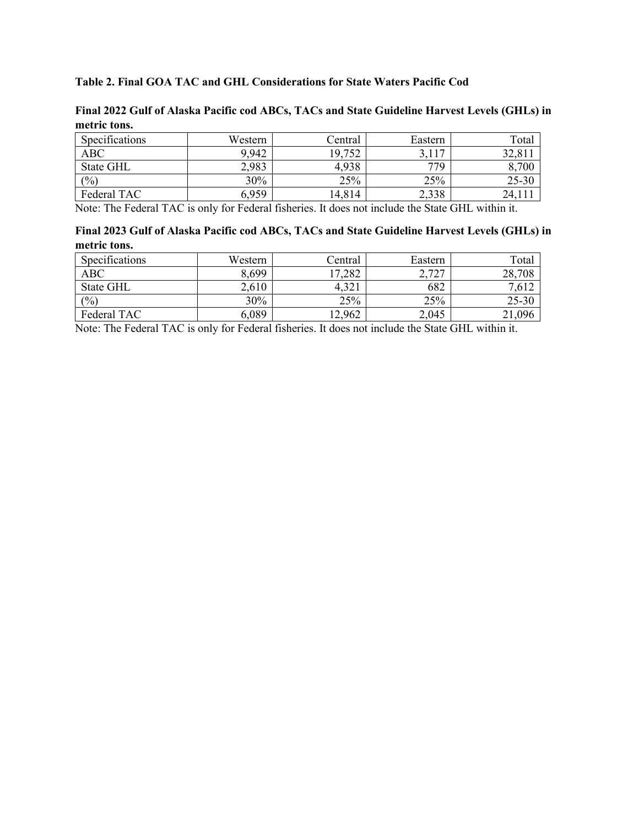## **Table 2. Final GOA TAC and GHL Considerations for State Waters Pacific Cod**

| metric tons.   |         |         |         |           |
|----------------|---------|---------|---------|-----------|
| Specifications | Western | Central | Eastern | Total     |
| ABC            | 9,942   | 19,752  | 3,117   | 32,811    |
| State GHL      | 2,983   | 4,938   | 779     | 8,700     |
| (9/0)          | 30%     | 25%     | 25%     | $25 - 30$ |
| Federal TAC    | 6,959   | 14,814  | 2,338   | 24,111    |

**Final 2022 Gulf of Alaska Pacific cod ABCs, TACs and State Guideline Harvest Levels (GHLs) in metric tons.**

Note: The Federal TAC is only for Federal fisheries. It does not include the State GHL within it.

| Final 2023 Gulf of Alaska Pacific cod ABCs, TACs and State Guideline Harvest Levels (GHLs) in |  |  |
|-----------------------------------------------------------------------------------------------|--|--|
| metric tons.                                                                                  |  |  |

| Specifications   | Western | Central | Eastern | Total     |
|------------------|---------|---------|---------|-----------|
| <b>ABC</b>       | 8,699   | 17,282  | 2,727   | 28,708    |
| <b>State GHL</b> | 2,610   | 4,321   | 682     | 7,612     |
| (%)              | 30%     | 25%     | 25%     | $25 - 30$ |
| Federal TAC      | 6,089   | 12,962  | 2,045   | 21,096    |

Note: The Federal TAC is only for Federal fisheries. It does not include the State GHL within it.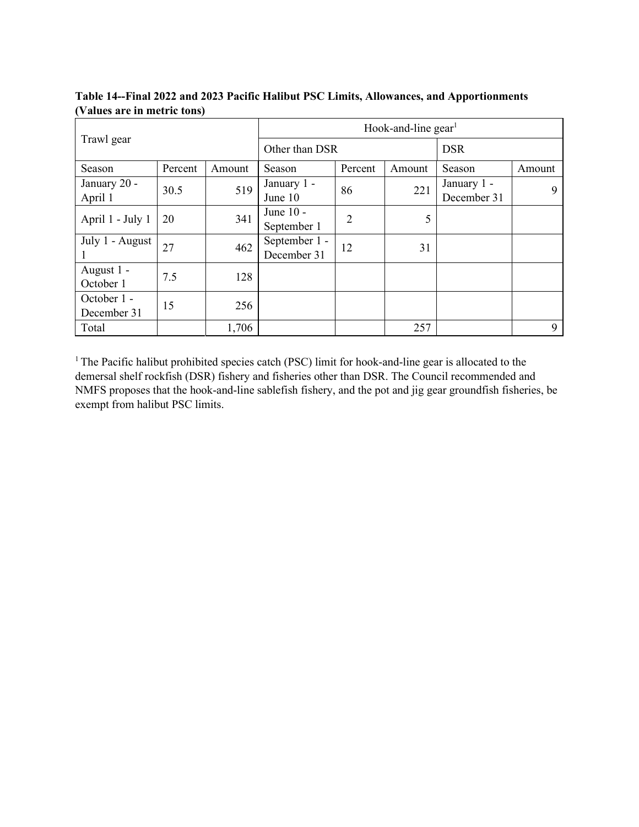| Trawl gear            |         |        | Hook-and-line gear <sup>1</sup> |         |        |             |        |  |
|-----------------------|---------|--------|---------------------------------|---------|--------|-------------|--------|--|
|                       |         |        | Other than DSR                  |         |        | <b>DSR</b>  |        |  |
| Season                | Percent | Amount | Season                          | Percent | Amount | Season      | Amount |  |
| January 20 -          | 30.5    | 519    | January 1 -                     | 86      |        | January 1 - | 9      |  |
| April 1               |         |        | June 10                         |         | 221    | December 31 |        |  |
| April 1 - July 1      | 20      | 341    | June 10 -                       | 2       | 5      |             |        |  |
|                       |         |        | September 1                     |         |        |             |        |  |
| July 1 - August<br>27 |         | 462    | September 1 -                   | 12      | 31     |             |        |  |
|                       |         |        | December 31                     |         |        |             |        |  |
| August 1 -            | 7.5     | 128    |                                 |         |        |             |        |  |
| October 1             |         |        |                                 |         |        |             |        |  |
| October 1 -           | 15      | 256    |                                 |         |        |             |        |  |
| December 31           |         |        |                                 |         |        |             |        |  |
| Total                 |         | 1,706  |                                 |         | 257    |             | 9      |  |

**Table 14--Final 2022 and 2023 Pacific Halibut PSC Limits, Allowances, and Apportionments (Values are in metric tons)**

<sup>1</sup> The Pacific halibut prohibited species catch (PSC) limit for hook-and-line gear is allocated to the demersal shelf rockfish (DSR) fishery and fisheries other than DSR. The Council recommended and NMFS proposes that the hook-and-line sablefish fishery, and the pot and jig gear groundfish fisheries, be exempt from halibut PSC limits.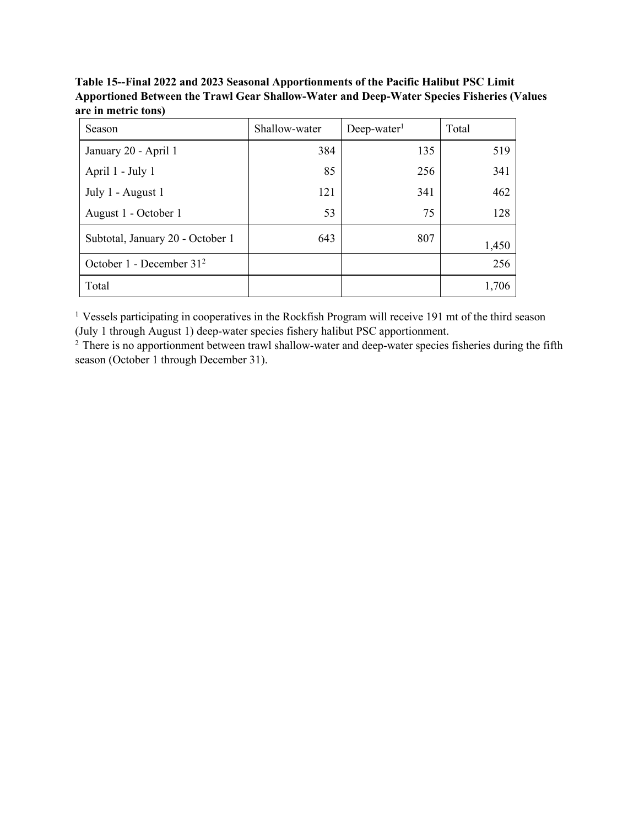**Table 15--Final 2022 and 2023 Seasonal Apportionments of the Pacific Halibut PSC Limit Apportioned Between the Trawl Gear Shallow-Water and Deep-Water Species Fisheries (Values are in metric tons)**

| Season                               | Shallow-water | $Deep-water1$ | Total |
|--------------------------------------|---------------|---------------|-------|
| January 20 - April 1                 | 384           | 135           | 519   |
| April 1 - July 1                     | 85            | 256           | 341   |
| July 1 - August 1                    | 121           | 341           | 462   |
| August 1 - October 1                 | 53            | 75            | 128   |
| Subtotal, January 20 - October 1     | 643           | 807           | 1,450 |
| October 1 - December 31 <sup>2</sup> |               |               | 256   |
| Total                                |               |               | 1,706 |

<sup>1</sup> Vessels participating in cooperatives in the Rockfish Program will receive 191 mt of the third season (July 1 through August 1) deep-water species fishery halibut PSC apportionment.

<sup>2</sup> There is no apportionment between trawl shallow-water and deep-water species fisheries during the fifth season (October 1 through December 31).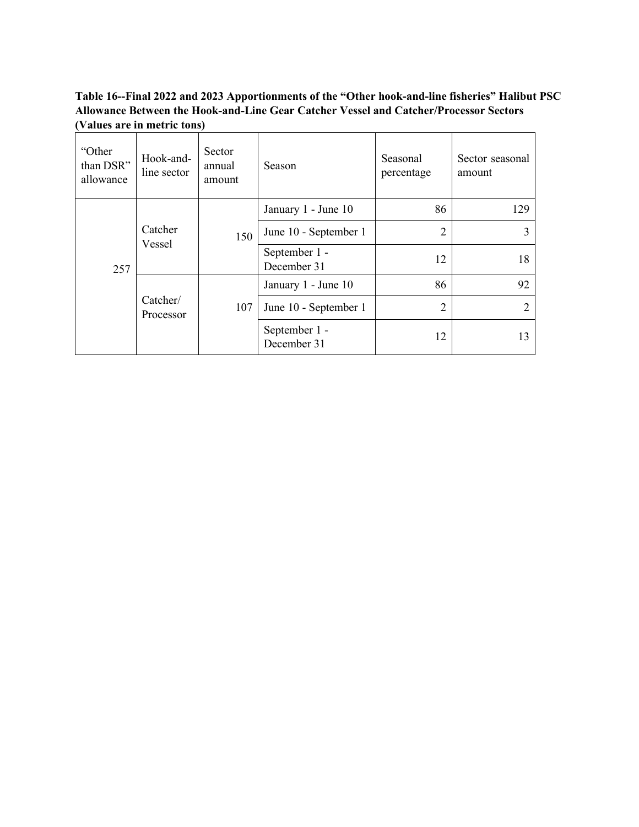## **Table 16--Final 2022 and 2023 Apportionments of the "Other hook-and-line fisheries" Halibut PSC Allowance Between the Hook-and-Line Gear Catcher Vessel and Catcher/Processor Sectors (Values are in metric tons)**

| "Other<br>than DSR"<br>allowance | Hook-and-<br>line sector | Sector<br>annual<br>amount | Season                       | Seasonal<br>percentage | Sector seasonal<br>amount |    |
|----------------------------------|--------------------------|----------------------------|------------------------------|------------------------|---------------------------|----|
|                                  |                          |                            | January 1 - June 10          | 86                     | 129                       |    |
| 257                              | Catcher<br>Vessel        | 150                        | June 10 - September 1        | 2                      |                           |    |
|                                  |                          |                            | September 1 -<br>December 31 | 12                     | 18                        |    |
|                                  | Catcher/<br>Processor    |                            |                              | January 1 - June 10    | 86                        | 92 |
|                                  |                          | 107                        | June 10 - September 1        | $\overline{2}$         | $\mathfrak{D}$            |    |
|                                  |                          |                            | September 1 -<br>December 31 | 12                     | 13                        |    |